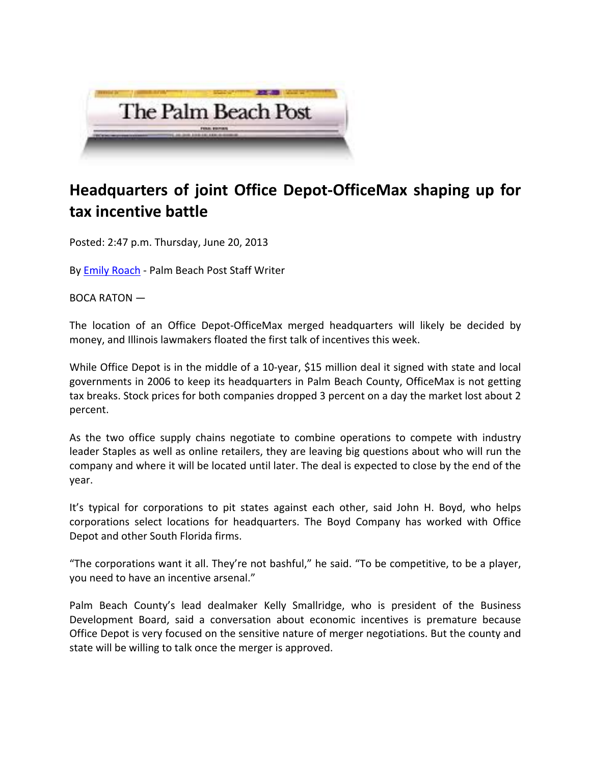

## **Headquarters of joint Office Depot‐OfficeMax shaping up for tax incentive battle**

Posted: 2:47 p.m. Thursday, June 20, 2013

By Emily Roach ‐ Palm Beach Post Staff Writer

BOCA RATON —

The location of an Office Depot‐OfficeMax merged headquarters will likely be decided by money, and Illinois lawmakers floated the first talk of incentives this week.

While Office Depot is in the middle of a 10-year, \$15 million deal it signed with state and local governments in 2006 to keep its headquarters in Palm Beach County, OfficeMax is not getting tax breaks. Stock prices for both companies dropped 3 percent on a day the market lost about 2 percent.

As the two office supply chains negotiate to combine operations to compete with industry leader Staples as well as online retailers, they are leaving big questions about who will run the company and where it will be located until later. The deal is expected to close by the end of the year.

It's typical for corporations to pit states against each other, said John H. Boyd, who helps corporations select locations for headquarters. The Boyd Company has worked with Office Depot and other South Florida firms.

"The corporations want it all. They're not bashful," he said. "To be competitive, to be a player, you need to have an incentive arsenal."

Palm Beach County's lead dealmaker Kelly Smallridge, who is president of the Business Development Board, said a conversation about economic incentives is premature because Office Depot is very focused on the sensitive nature of merger negotiations. But the county and state will be willing to talk once the merger is approved.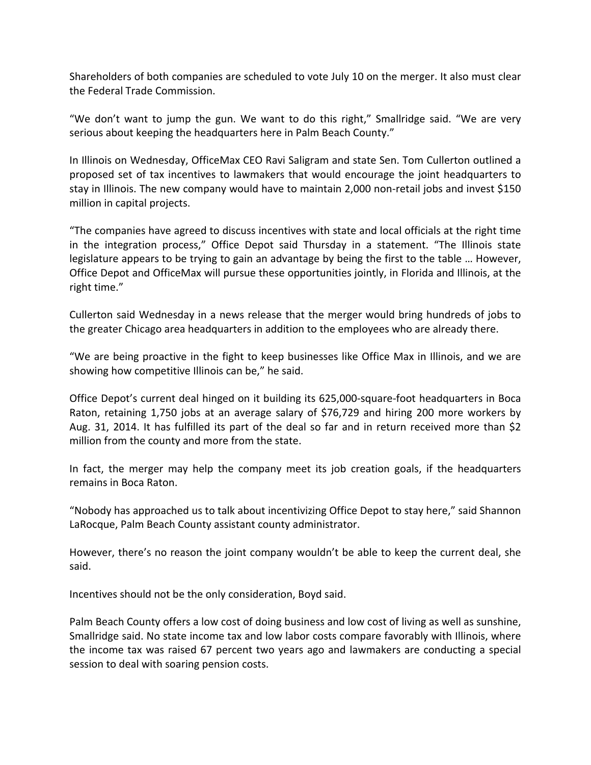Shareholders of both companies are scheduled to vote July 10 on the merger. It also must clear the Federal Trade Commission.

"We don't want to jump the gun. We want to do this right," Smallridge said. "We are very serious about keeping the headquarters here in Palm Beach County."

In Illinois on Wednesday, OfficeMax CEO Ravi Saligram and state Sen. Tom Cullerton outlined a proposed set of tax incentives to lawmakers that would encourage the joint headquarters to stay in Illinois. The new company would have to maintain 2,000 non-retail jobs and invest \$150 million in capital projects.

"The companies have agreed to discuss incentives with state and local officials at the right time in the integration process," Office Depot said Thursday in a statement. "The Illinois state legislature appears to be trying to gain an advantage by being the first to the table … However, Office Depot and OfficeMax will pursue these opportunities jointly, in Florida and Illinois, at the right time."

Cullerton said Wednesday in a news release that the merger would bring hundreds of jobs to the greater Chicago area headquarters in addition to the employees who are already there.

"We are being proactive in the fight to keep businesses like Office Max in Illinois, and we are showing how competitive Illinois can be," he said.

Office Depot's current deal hinged on it building its 625,000‐square‐foot headquarters in Boca Raton, retaining 1,750 jobs at an average salary of \$76,729 and hiring 200 more workers by Aug. 31, 2014. It has fulfilled its part of the deal so far and in return received more than \$2 million from the county and more from the state.

In fact, the merger may help the company meet its job creation goals, if the headquarters remains in Boca Raton.

"Nobody has approached us to talk about incentivizing Office Depot to stay here," said Shannon LaRocque, Palm Beach County assistant county administrator.

However, there's no reason the joint company wouldn't be able to keep the current deal, she said.

Incentives should not be the only consideration, Boyd said.

Palm Beach County offers a low cost of doing business and low cost of living as well as sunshine, Smallridge said. No state income tax and low labor costs compare favorably with Illinois, where the income tax was raised 67 percent two years ago and lawmakers are conducting a special session to deal with soaring pension costs.